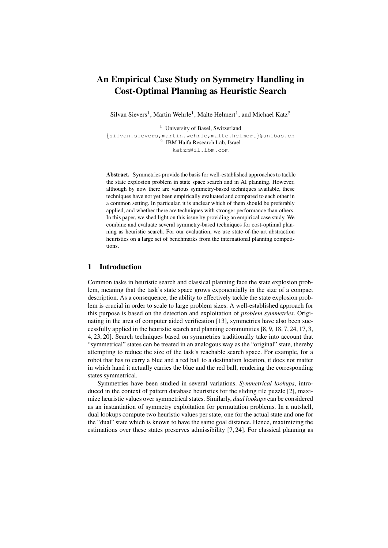# An Empirical Case Study on Symmetry Handling in Cost-Optimal Planning as Heuristic Search

Silvan Sievers<sup>1</sup>, Martin Wehrle<sup>1</sup>, Malte Helmert<sup>1</sup>, and Michael Katz<sup>2</sup>

<sup>1</sup> University of Basel, Switzerland {silvan.sievers,martin.wehrle,malte.helmert}@unibas.ch 2 IBM Haifa Research Lab, Israel katzm@il.ibm.com

Abstract. Symmetries provide the basis for well-established approaches to tackle the state explosion problem in state space search and in AI planning. However, although by now there are various symmetry-based techniques available, these techniques have not yet been empirically evaluated and compared to each other in a common setting. In particular, it is unclear which of them should be preferably applied, and whether there are techniques with stronger performance than others. In this paper, we shed light on this issue by providing an empirical case study. We combine and evaluate several symmetry-based techniques for cost-optimal planning as heuristic search. For our evaluation, we use state-of-the-art abstraction heuristics on a large set of benchmarks from the international planning competitions.

# 1 Introduction

Common tasks in heuristic search and classical planning face the state explosion problem, meaning that the task's state space grows exponentially in the size of a compact description. As a consequence, the ability to effectively tackle the state explosion problem is crucial in order to scale to large problem sizes. A well-established approach for this purpose is based on the detection and exploitation of *problem symmetries*. Originating in the area of computer aided verification [13], symmetries have also been successfully applied in the heuristic search and planning communities [8, 9, 18, 7, 24, 17, 3, 4, 23, 20]. Search techniques based on symmetries traditionally take into account that "symmetrical" states can be treated in an analogous way as the "original" state, thereby attempting to reduce the size of the task's reachable search space. For example, for a robot that has to carry a blue and a red ball to a destination location, it does not matter in which hand it actually carries the blue and the red ball, rendering the corresponding states symmetrical.

Symmetries have been studied in several variations. *Symmetrical lookups*, introduced in the context of pattern database heuristics for the sliding tile puzzle [2], maximize heuristic values over symmetrical states. Similarly, *dual lookups* can be considered as an instantiation of symmetry exploitation for permutation problems. In a nutshell, dual lookups compute two heuristic values per state, one for the actual state and one for the "dual" state which is known to have the same goal distance. Hence, maximizing the estimations over these states preserves admissibility [7, 24]. For classical planning as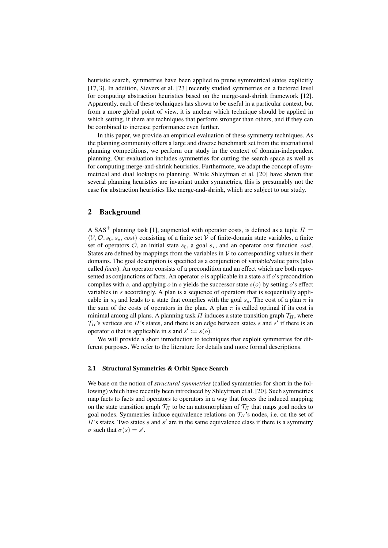heuristic search, symmetries have been applied to prune symmetrical states explicitly [17, 3]. In addition, Sievers et al. [23] recently studied symmetries on a factored level for computing abstraction heuristics based on the merge-and-shrink framework [12]. Apparently, each of these techniques has shown to be useful in a particular context, but from a more global point of view, it is unclear which technique should be applied in which setting, if there are techniques that perform stronger than others, and if they can be combined to increase performance even further.

In this paper, we provide an empirical evaluation of these symmetry techniques. As the planning community offers a large and diverse benchmark set from the international planning competitions, we perform our study in the context of domain-independent planning. Our evaluation includes symmetries for cutting the search space as well as for computing merge-and-shrink heuristics. Furthermore, we adapt the concept of symmetrical and dual lookups to planning. While Shleyfman et al. [20] have shown that several planning heuristics are invariant under symmetries, this is presumably not the case for abstraction heuristics like merge-and-shrink, which are subject to our study.

# 2 Background

A SAS<sup>+</sup> planning task [1], augmented with operator costs, is defined as a tuple  $\Pi$  =  $\langle V, O, s_0, s_*$ , cost) consisting of a finite set V of finite-domain state variables, a finite set of operators  $\mathcal{O}$ , an initial state  $s_0$ , a goal  $s_{\star}$ , and an operator cost function cost. States are defined by mappings from the variables in  $V$  to corresponding values in their domains. The goal description is specified as a conjunction of variable/value pairs (also called *facts*). An operator consists of a precondition and an effect which are both represented as conjunctions of facts. An operator  $o$  is applicable in a state  $s$  if  $o$ 's precondition complies with s, and applying o in s yields the successor state  $s(o)$  by setting o's effect variables in s accordingly. A plan is a sequence of operators that is sequentially applicable in  $s_0$  and leads to a state that complies with the goal  $s_{\star}$ . The cost of a plan  $\pi$  is the sum of the costs of operators in the plan. A plan  $\pi$  is called optimal if its cost is minimal among all plans. A planning task  $\Pi$  induces a state transition graph  $\mathcal{T}_{\Pi}$ , where  $\mathcal{T}_{\Pi}$ 's vertices are  $\Pi$ 's states, and there is an edge between states s and s' if there is an operator *o* that is applicable in *s* and  $s' := s(o)$ .

We will provide a short introduction to techniques that exploit symmetries for different purposes. We refer to the literature for details and more formal descriptions.

### 2.1 Structural Symmetries & Orbit Space Search

We base on the notion of *structural symmetries* (called symmetries for short in the following) which have recently been introduced by Shleyfman et al. [20]. Such symmetries map facts to facts and operators to operators in a way that forces the induced mapping on the state transition graph  $T_{II}$  to be an automorphism of  $T_{II}$  that maps goal nodes to goal nodes. Symmetries induce equivalence relations on  $\mathcal{T}_{II}$ 's nodes, i.e. on the set of  $\Pi$ 's states. Two states s and s' are in the same equivalence class if there is a symmetry  $\sigma$  such that  $\sigma(s) = s'$ .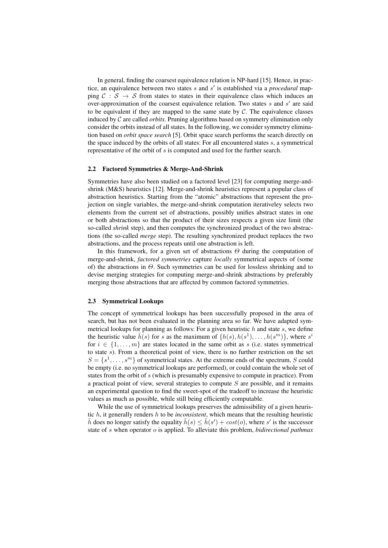In general, finding the coarsest equivalence relation is NP-hard [15]. Hence, in practice, an equivalence between two states s and s' is established via a *procedural* mapping  $C : S \rightarrow S$  from states to states in their equivalence class which induces an over-approximation of the coarsest equivalence relation. Two states  $s$  and  $s'$  are said to be equivalent if they are mapped to the same state by  $C$ . The equivalence classes induced by C are called *orbits*. Pruning algorithms based on symmetry elimination only consider the orbits instead of all states. In the following, we consider symmetry elimination based on *orbit space search* [5]. Orbit space search performs the search directly on the space induced by the orbits of all states: For all encountered states s, a symmetrical representative of the orbit of s is computed and used for the further search.

#### 2.2 Factored Symmetries & Merge-And-Shrink

Symmetries have also been studied on a factored level [23] for computing merge-andshrink (M&S) heuristics [12]. Merge-and-shrink heuristics represent a popular class of abstraction heuristics. Starting from the "atomic" abstractions that represent the projection on single variables, the merge-and-shrink computation iterativeley selects two elements from the current set of abstractions, possibly unifies abstract states in one or both abstractions so that the product of their sizes respects a given size limit (the so-called *shrink* step), and then computes the synchronized product of the two abstractions (the so-called *merge* step). The resulting synchronized product replaces the two abstractions, and the process repeats until one abstraction is left.

In this framework, for a given set of abstractions  $\Theta$  during the computation of merge-and-shrink, *factored symmetries* capture *locally* symmetrical aspects of (some of) the abstractions in  $\Theta$ . Such symmetries can be used for lossless shrinking and to devise merging strategies for computing merge-and-shrink abstractions by preferably merging those abstractions that are affected by common factored symmetries.

#### 2.3 Symmetrical Lookups

The concept of symmetrical lookups has been successfully proposed in the area of search, but has not been evaluated in the planning area so far. We have adapted symmetrical lookups for planning as follows: For a given heuristic  $h$  and state  $s$ , we define the heuristic value  $\bar{h}(s)$  for s as the maximum of  $\{h(s), h(s^1), \ldots, h(s^m)\}\$ , where  $s^i$ for  $i \in \{1, \ldots, m\}$  are states located in the same orbit as s (i.e. states symmetrical to state s). From a theoretical point of view, there is no further restriction on the set  $S = \{s^1, \ldots, s^m\}$  of symmetrical states. At the extreme ends of the spectrum, S could be empty (i.e. no symmetrical lookups are performed), or could contain the whole set of states from the orbit of s (which is presumably expensive to compute in practice). From a practical point of view, several strategies to compute  $S$  are possible, and it remains an experimental question to find the sweet-spot of the tradeoff to increase the heuristic values as much as possible, while still being efficiently computable.

While the use of symmetrical lookups preserves the admissibility of a given heuristic h, it generally renders h to be *inconsistent*, which means that the resulting heuristic  $\bar{h}$  does no longer satisfy the equality  $\bar{h}(s) \leq \bar{h}(s') + cost(o)$ , where s' is the successor state of s when operator o is applied. To alleviate this problem, *bidirectional pathmax*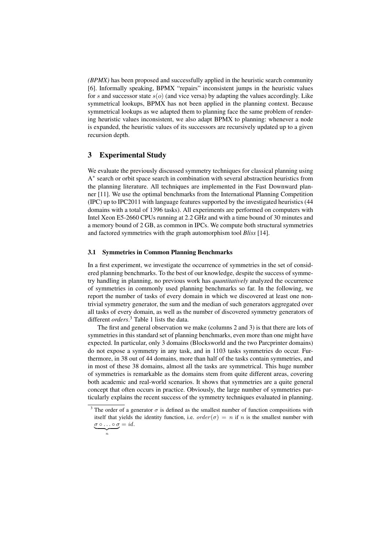*(BPMX)* has been proposed and successfully applied in the heuristic search community [6]. Informally speaking, BPMX "repairs" inconsistent jumps in the heuristic values for s and successor state  $s(o)$  (and vice versa) by adapting the values accordingly. Like symmetrical lookups, BPMX has not been applied in the planning context. Because symmetrical lookups as we adapted them to planning face the same problem of rendering heuristic values inconsistent, we also adapt BPMX to planning: whenever a node is expanded, the heuristic values of its successors are recursively updated up to a given recursion depth.

## 3 Experimental Study

 $\overbrace{n}$ 

We evaluate the previously discussed symmetry techniques for classical planning using A<sup>\*</sup> search or orbit space search in combination with several abstraction heuristics from the planning literature. All techniques are implemented in the Fast Downward planner [11]. We use the optimal benchmarks from the International Planning Competition (IPC) up to IPC2011 with language features supported by the investigated heuristics (44 domains with a total of 1396 tasks). All experiments are performed on computers with Intel Xeon E5-2660 CPUs running at 2.2 GHz and with a time bound of 30 minutes and a memory bound of 2 GB, as common in IPCs. We compute both structural symmetries and factored symmetries with the graph automorphism tool *Bliss* [14].

## 3.1 Symmetries in Common Planning Benchmarks

In a first experiment, we investigate the occurrence of symmetries in the set of considered planning benchmarks. To the best of our knowledge, despite the success of symmetry handling in planning, no previous work has *quantitatively* analyzed the occurrence of symmetries in commonly used planning benchmarks so far. In the following, we report the number of tasks of every domain in which we discovered at least one nontrivial symmetry generator, the sum and the median of such generators aggregated over all tasks of every domain, as well as the number of discovered symmetry generators of different *orders*. <sup>3</sup> Table 1 lists the data.

The first and general observation we make (columns 2 and 3) is that there are lots of symmetries in this standard set of planning benchmarks, even more than one might have expected. In particular, only 3 domains (Blocksworld and the two Parcprinter domains) do not expose a symmetry in any task, and in 1103 tasks symmetries do occur. Furthermore, in 38 out of 44 domains, more than half of the tasks contain symmetries, and in most of these 38 domains, almost all the tasks are symmetrical. This huge number of symmetries is remarkable as the domains stem from quite different areas, covering both academic and real-world scenarios. It shows that symmetries are a quite general concept that often occurs in practice. Obviously, the large number of symmetries particularly explains the recent success of the symmetry techniques evaluated in planning.

<sup>&</sup>lt;sup>3</sup> The order of a generator  $\sigma$  is defined as the smallest number of function compositions with itself that yields the identity function, i.e.  $order(\sigma) = n$  if n is the smallest number with  $\sigma \circ \ldots \circ \sigma = id.$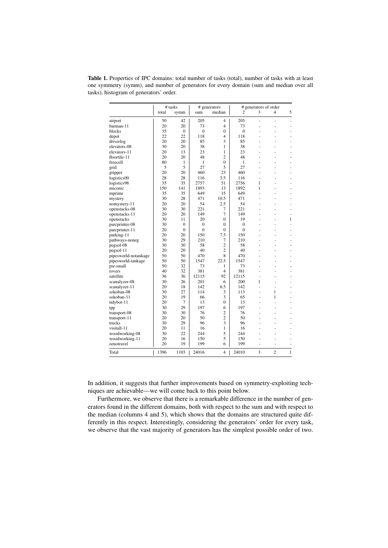|                      | # tasks |                |              | # generators   | # generators of order |    |                |              |
|----------------------|---------|----------------|--------------|----------------|-----------------------|----|----------------|--------------|
|                      | total   | symm           | sum          | median         | $\overline{c}$        | 3  | 4              | 5            |
| airport              | 50      | 42             | 205          | 4              | 205                   | L, | ä,             | ä,           |
| barman-11            | 20      | 20             | 73           | $\overline{4}$ | 73                    | ä, | ۰              |              |
| blocks               | 35      | $\mathbf{0}$   | $\mathbf{0}$ | $\overline{0}$ | $\mathbf{0}$          | ä, | ÷,             | ä,           |
| depot                | 22      | 22             | 118          | $\overline{4}$ | 118                   | ä, | ä,             |              |
| driverlog            | 20      | 20             | 85           | 3              | 85                    | ä, | ä,             | L.           |
| elevators-08         | 30      | 20             | 38           | 1              | 38                    |    |                |              |
| elevators-11         | 20      | 13             | 23           | 1              | 23                    |    |                |              |
| floortile-11         | 20      | 20             | 48           | $\overline{c}$ | 48                    |    |                |              |
| freecell             | 80      | 1              | 1            | $\theta$       | 1                     | L, |                | ä,           |
| grid                 | 5       | 5              | 27           | 5              | 27                    |    |                |              |
| gripper              | 20      | 20             | 460          | 23             | 460                   | ä, | ÷,             | ä,           |
| logistics00          | 28      | 28             | 116          | 3.5            | 116                   |    |                |              |
| logistics98          | 35      | 35             | 2757         | 51             | 2756                  | 1  | ä,             | ä,           |
| miconic              | 150     | 141            | 1893         | 13             | 1892                  | 1  | ä,             | L,           |
| mprime               | 35      | 35             | 649          | 15             | 649                   | L  | ä,             | ÷            |
| mystery              | 30      | 28             | 471          | 10.5           | 471                   | ä, | ä,             | L,           |
| nomystery-11         | 20      | 20             | 54           | 2.5            | 54                    | í. |                |              |
| openstacks-08        | 30      | 30             | 221          | 7              | 221                   | ä, | ÷,             |              |
| openstacks-11        | 20      | 20             | 149          | 7              | 149                   | ä, |                | L,           |
| openstacks           | 30      | 11             | 20           | $\theta$       | 19                    | ä, |                | 1            |
| parcprinter-08       | 30      | $\mathbf{0}$   | $\mathbf{0}$ | $\theta$       | $\mathbf{0}$          | L. | ä,             | ۳            |
| parcprinter-11       | 20      | $\mathbf{0}$   | $\mathbf{0}$ | 0              | $\mathbf{0}$          | ä, | ä,             | L.           |
| parking-11           | 20      | 20             | 150          | 7.5            | 150                   |    |                |              |
| pathways-noneg       | 30      | 29             | 210          | 7              | 210                   | ä, |                |              |
| pegsol-08            | 30      | 30             | 58           | $\overline{2}$ | 58                    |    |                |              |
| pegsol-11            | 20      | 20             | 40           | $\overline{c}$ | 40                    | L, |                | ä,           |
| pipesworld-notankage | 50      | 50             | 470          | 8              | 470                   |    |                |              |
| pipesworld-tankage   | 50      | 50             | 1547         | 22.5           | 1547                  | ä, | ä,             | ä,           |
| psr-small            | 50      | 32             | 73           | 1              | 73                    | ÷, |                |              |
| rovers               | 40      | 32             | 381          | $\overline{4}$ | 381                   | ÷, | ÷,             | ä,           |
| satellite            | 36      | 36             | 12115        | 92             | 12115                 | ÷, | ÷,             | ä,           |
| scanalyzer-08        | 30      | 26             | 201          | 6              | 200                   | 1  | ä,             |              |
| scanalyzer-11        | 20      | 18             | 142          | 6.5            | 142                   | L, | L,             |              |
| sokoban-08           | 30      | 27             | 114          | 3              | 113                   | L, | 1              |              |
| sokoban-11           | 20      | 19             | 66           | 3              | 65                    | L, | 1              |              |
| tidybot-11           | 20      | $\overline{7}$ | 13           | $\theta$       | 13                    | í. |                |              |
| tpp                  | 30      | 29             | 197          | 6              | 197                   | ä, |                | L,           |
| transport-08         | 30      | 30             | 76           | $\overline{2}$ | 76                    | ä, |                |              |
| transport-11         | 20      | 20             | 50           | $\overline{2}$ | 50                    | L  | ä,             |              |
| trucks               | 30      | 29             | 96           | 3              | 96                    |    |                |              |
| visitall-11          | 20      | 11             | 16           | 1              | 16                    |    |                |              |
| woodworking-08       | 30      | 22             | 244          | 5              | 244                   |    |                |              |
| woodworking-11       | 20      | 16             | 150          | 5              | 150                   | í, | L,             |              |
| zenotravel           | 20      | 19             | 199          | 6              | 199                   |    |                |              |
| Total                | 1396    | 1103           | 24016        | 4              | 24010                 | 3  | $\overline{c}$ | $\mathbf{1}$ |

Table 1. Properties of IPC domains: total number of tasks (total), number of tasks with at least one symmetry (symm), and number of generators for every domain (sum and median over all tasks), histogram of generators' order.

In addition, it suggests that further improvements based on symmetry-exploiting techniques are achievable—we will come back to this point below.

Furthermore, we observe that there is a remarkable difference in the number of generators found in the different domains, both with respect to the sum and with respect to the median (columns 4 and 5), which shows that the domains are structured quite differently in this respect. Interestingly, considering the generators' order for every task, we observe that the vast majority of generators has the simplest possible order of two.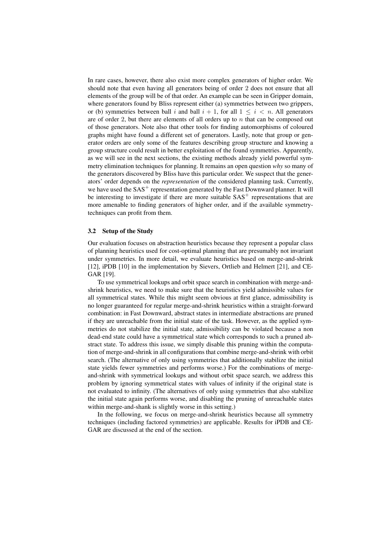In rare cases, however, there also exist more complex generators of higher order. We should note that even having all generators being of order 2 does not ensure that all elements of the group will be of that order. An example can be seen in Gripper domain, where generators found by Bliss represent either (a) symmetries between two grippers, or (b) symmetries between ball i and ball  $i + 1$ , for all  $1 \le i \le n$ . All generators are of order 2, but there are elements of all orders up to  $n$  that can be composed out of those generators. Note also that other tools for finding automorphisms of coloured graphs might have found a different set of generators. Lastly, note that group or generator orders are only some of the features describing group structure and knowing a group structure could result in better exploitation of the found symmetries. Apparently, as we will see in the next sections, the existing methods already yield powerful symmetry elimination techniques for planning. It remains an open question *why* so many of the generators discovered by Bliss have this particular order. We suspect that the generators' order depends on the *representation* of the considered planning task. Currently, we have used the  $SAS^+$  representation generated by the Fast Downward planner. It will be interesting to investigate if there are more suitable  $SAS<sup>+</sup>$  representations that are more amenable to finding generators of higher order, and if the available symmetrytechniques can profit from them.

## 3.2 Setup of the Study

Our evaluation focuses on abstraction heuristics because they represent a popular class of planning heuristics used for cost-optimal planning that are presumably not invariant under symmetries. In more detail, we evaluate heuristics based on merge-and-shrink [12], iPDB [10] in the implementation by Sievers, Ortlieb and Helmert [21], and CE-GAR [19].

To use symmetrical lookups and orbit space search in combination with merge-andshrink heuristics, we need to make sure that the heuristics yield admissible values for all symmetrical states. While this might seem obvious at first glance, admissibility is no longer guaranteed for regular merge-and-shrink heuristics within a straight-forward combination: in Fast Downward, abstract states in intermediate abstractions are pruned if they are unreachable from the initial state of the task. However, as the applied symmetries do not stabilize the initial state, admissibility can be violated because a non dead-end state could have a symmetrical state which corresponds to such a pruned abstract state. To address this issue, we simply disable this pruning within the computation of merge-and-shrink in all configurations that combine merge-and-shrink with orbit search. (The alternative of only using symmetries that additionally stabilize the initial state yields fewer symmetries and performs worse.) For the combinations of mergeand-shrink with symmetrical lookups and without orbit space search, we address this problem by ignoring symmetrical states with values of infinity if the original state is not evaluated to infinity. (The alternatives of only using symmetries that also stabilize the initial state again performs worse, and disabling the pruning of unreachable states within merge-and-shank is slightly worse in this setting.)

In the following, we focus on merge-and-shrink heuristics because all symmetry techniques (including factored symmetries) are applicable. Results for iPDB and CE-GAR are discussed at the end of the section.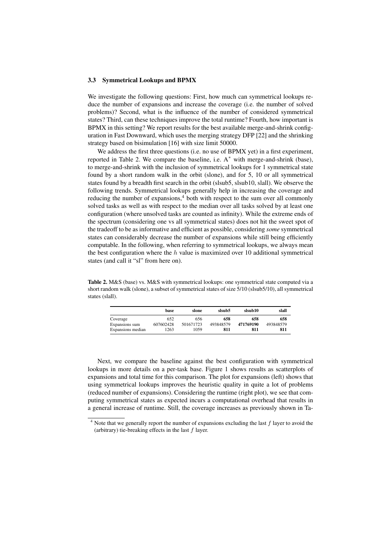#### 3.3 Symmetrical Lookups and BPMX

We investigate the following questions: First, how much can symmetrical lookups reduce the number of expansions and increase the coverage (i.e. the number of solved problems)? Second, what is the influence of the number of considered symmetrical states? Third, can these techniques improve the total runtime? Fourth, how important is BPMX in this setting? We report results for the best available merge-and-shrink configuration in Fast Downward, which uses the merging strategy DFP [22] and the shrinking strategy based on bisimulation [16] with size limit 50000.

We address the first three questions (i.e. no use of BPMX yet) in a first experiment, reported in Table 2. We compare the baseline, i.e.  $A^*$  with merge-and-shrink (base), to merge-and-shrink with the inclusion of symmetrical lookups for 1 symmetrical state found by a short random walk in the orbit (slone), and for 5, 10 or all symmetrical states found by a breadth first search in the orbit (slsub5, slsub10, slall). We observe the following trends. Symmetrical lookups generally help in increasing the coverage and reducing the number of expansions, $4$  both with respect to the sum over all commonly solved tasks as well as with respect to the median over all tasks solved by at least one configuration (where unsolved tasks are counted as infinity). While the extreme ends of the spectrum (considering one vs all symmetrical states) does not hit the sweet spot of the tradeoff to be as informative and efficient as possible, considering *some* symmetrical states can considerably decrease the number of expansions while still being efficiently computable. In the following, when referring to symmetrical lookups, we always mean the best configuration where the  $h$  value is maximized over 10 additional symmetrical states (and call it "sl" from here on).

Table 2. M&S (base) vs. M&S with symmetrical lookups: one symmetrical state computed via a short random walk (slone), a subset of symmetrical states of size 5/10 (slsub5/10), all symmetrical states (slall).

|                   | base      | slone     | slsub5    | slsub10   | slall     |
|-------------------|-----------|-----------|-----------|-----------|-----------|
| Coverage          | 652       | 656       | 658       | 658       | 658       |
| Expansions sum    | 607602428 | 501671723 | 493848579 | 471769190 | 493848579 |
| Expansions median | 1263      | 1059      | 811       | 811       | 811       |

Next, we compare the baseline against the best configuration with symmetrical lookups in more details on a per-task base. Figure 1 shows results as scatterplots of expansions and total time for this comparison. The plot for expansions (left) shows that using symmetrical lookups improves the heuristic quality in quite a lot of problems (reduced number of expansions). Considering the runtime (right plot), we see that computing symmetrical states as expected incurs a computational overhead that results in a general increase of runtime. Still, the coverage increases as previously shown in Ta-

 $4$  Note that we generally report the number of expansions excluding the last  $f$  layer to avoid the (arbitrary) tie-breaking effects in the last  $f$  layer.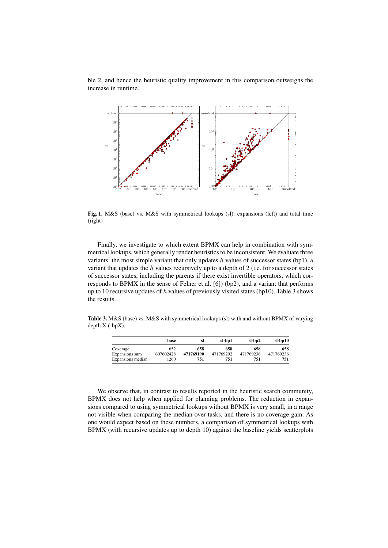ble 2, and hence the heuristic quality improvement in this comparison outweighs the increase in runtime.



Fig. 1. M&S (base) vs. M&S with symmetrical lookups (sl): expansions (left) and total time (right)

Finally, we investigate to which extent BPMX can help in combination with symmetrical lookups, which generally render heuristics to be inconsistent. We evaluate three variants: the most simple variant that only updates  $h$  values of successor states (bp1), a variant that updates the  $h$  values recursively up to a depth of 2 (i.e. for successor states of successor states, including the parents if there exist invertible operators, which corresponds to BPMX in the sense of Felner et al. [6]) (bp2), and a variant that performs up to 10 recursive updates of h values of previously visited states (bp10). Table 3 shows the results.

Table 3. M&S (base) vs. M&S with symmetrical lookups (sl) with and without BPMX of varying depth X (-bpX).

|                   | base      | sl        | sl-bp1    | sl-bp2    | $sl-bp10$ |
|-------------------|-----------|-----------|-----------|-----------|-----------|
| Coverage          | 652       | 658       | 658       | 658       | 658       |
| Expansions sum    | 607602428 | 471769190 | 471769292 | 471769236 | 471769236 |
| Expansions median | 1260      | 751       | 751       | 751       | 751       |

We observe that, in contrast to results reported in the heuristic search community, BPMX does not help when applied for planning problems. The reduction in expansions compared to using symmetrical lookups without BPMX is very small, in a range not visible when comparing the median over tasks, and there is no coverage gain. As one would expect based on these numbers, a comparison of symmetrical lookups with BPMX (with recursive updates up to depth 10) against the baseline yields scatterplots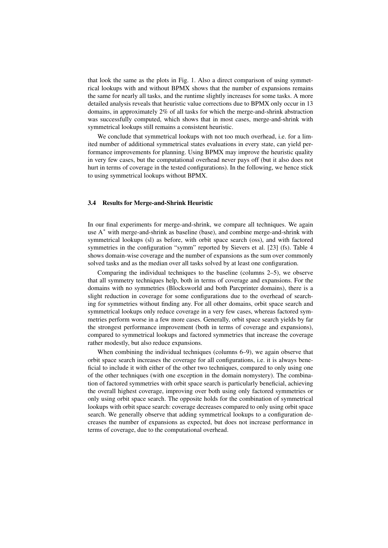that look the same as the plots in Fig. 1. Also a direct comparison of using symmetrical lookups with and without BPMX shows that the number of expansions remains the same for nearly all tasks, and the runtime slightly increases for some tasks. A more detailed analysis reveals that heuristic value corrections due to BPMX only occur in 13 domains, in approximately 2% of all tasks for which the merge-and-shrink abstraction was successfully computed, which shows that in most cases, merge-and-shrink with symmetrical lookups still remains a consistent heuristic.

We conclude that symmetrical lookups with not too much overhead, i.e. for a limited number of additional symmetrical states evaluations in every state, can yield performance improvements for planning. Using BPMX may improve the heuristic quality in very few cases, but the computational overhead never pays off (but it also does not hurt in terms of coverage in the tested configurations). In the following, we hence stick to using symmetrical lookups without BPMX.

### 3.4 Results for Merge-and-Shrink Heuristic

In our final experiments for merge-and-shrink, we compare all techniques. We again use  $A^*$  with merge-and-shrink as baseline (base), and combine merge-and-shrink with symmetrical lookups (sl) as before, with orbit space search (oss), and with factored symmetries in the configuration "symm" reported by Sievers et al. [23] (fs). Table 4 shows domain-wise coverage and the number of expansions as the sum over commonly solved tasks and as the median over all tasks solved by at least one configuration.

Comparing the individual techniques to the baseline (columns 2–5), we observe that all symmetry techniques help, both in terms of coverage and expansions. For the domains with no symmetries (Blocksworld and both Parcprinter domains), there is a slight reduction in coverage for some configurations due to the overhead of searching for symmetries without finding any. For all other domains, orbit space search and symmetrical lookups only reduce coverage in a very few cases, whereas factored symmetries perform worse in a few more cases. Generally, orbit space search yields by far the strongest performance improvement (both in terms of coverage and expansions), compared to symmetrical lookups and factored symmetries that increase the coverage rather modestly, but also reduce expansions.

When combining the individual techniques (columns 6–9), we again observe that orbit space search increases the coverage for all configurations, i.e. it is always beneficial to include it with either of the other two techniques, compared to only using one of the other techniques (with one exception in the domain nomystery). The combination of factored symmetries with orbit space search is particularly beneficial, achieving the overall highest coverage, improving over both using only factored symmetries or only using orbit space search. The opposite holds for the combination of symmetrical lookups with orbit space search: coverage decreases compared to only using orbit space search. We generally observe that adding symmetrical lookups to a configuration decreases the number of expansions as expected, but does not increase performance in terms of coverage, due to the computational overhead.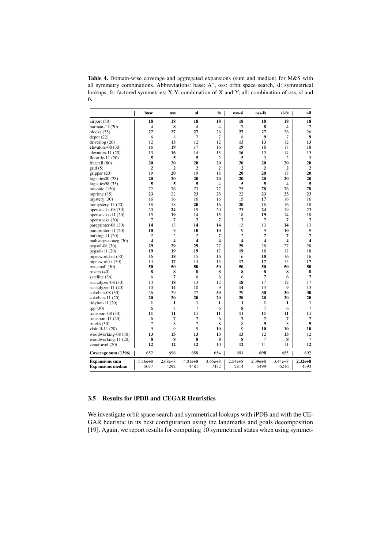Table 4. Domain-wise coverage and aggregated expansions (sum and median) for M&S with all symmetry combinations. Abbreviations: base: A<sup>∗</sup> , oss: orbit space search, sl: symmetrical lookups, fs: factored symmetries; X-Y: combination of X and Y; all: combination of oss, sl and fs.

|                          | base                    | <b>OSS</b>              | sl                      | fs                      | oss-sl         | oss-fs         | sl-fs          | all                     |
|--------------------------|-------------------------|-------------------------|-------------------------|-------------------------|----------------|----------------|----------------|-------------------------|
| airport (50)             | 18                      | 18                      | 18                      | 18                      | 18             | 18             | 18             | 18                      |
| barman-11 $(20)$         | $\overline{4}$          | 8                       | $\overline{4}$          | $\overline{4}$          | $\overline{7}$ | 8              | $\overline{4}$ | 7                       |
| blocks $(35)$            | 27                      | 27                      | 27                      | 26                      | 27             | 27             | 26             | 26                      |
| depot(22)                | 6                       | 8                       | 7                       | $\overline{7}$          | 8              | 9              | 7              | 9                       |
| driverlog $(20)$         | 12                      | 13                      | 12                      | 12                      | 13             | 13             | 12             | 13                      |
| elevators-08 (30)        | 16                      | 19                      | 17                      | 16                      | 19             | 18             | 17             | 18                      |
| elevators- $11(20)$      | 13                      | 16                      | 14                      | 13                      | 16             | 15             | 14             | 15                      |
| floortile-11 $(20)$      | 5                       | 5                       | 5                       | $\overline{c}$          | 5              | 3              | $\overline{2}$ | 3                       |
| freecell (80)            | 20                      | 20                      | 20                      | 20                      | 20             | 20             | 20             | 20                      |
| grid(5)                  | $\overline{2}$          | $\overline{2}$          | $\overline{2}$          | $\overline{2}$          | $\overline{2}$ | $\overline{2}$ | $\overline{2}$ | $\overline{2}$          |
| gripper $(20)$           | 19                      | 20                      | 19                      | 18                      | 20             | 20             | 18             | 20                      |
| logistics $00(28)$       | 20                      | 20                      | 20                      | 20                      | 20             | 20             | 20             | 20                      |
| logistics $98(35)$       | 5                       | 5                       | 5                       | $\overline{4}$          | 5              | 5              | $\overline{4}$ | 5                       |
| miconic (150)            | 72                      | 76                      | 73                      | 77                      | 75             | 78             | 76             | 78                      |
| mprime $(35)$            | 23                      | 22                      | 23                      | 23                      | 22             | 23             | 23             | 23                      |
| mystery $(30)$           | 16                      | 16                      | 16                      | 16                      | 15             | 17             | 16             | 16                      |
| nomystery- $11(20)$      | 18                      | 18                      | 20                      | 16                      | 20             | 18             | 16             | 18                      |
| openstacks-08 (30)       | 20                      | 24                      | 19                      | 20                      | 23             | 24             | 19             | 23                      |
| openstacks- $11(20)$     | 15                      | 19                      | 14                      | 15                      | 18             | 19             | 14             | 18                      |
| openstacks (30)          | 7                       | 7                       | 7                       | 7                       | 7              | 7              | 7              | $\overline{7}$          |
| parcprinter-08 (30)      | 14                      | 13                      | 14                      | 14                      | 13             | 13             | 14             | 13                      |
| parcprinter-11 (20)      | 10                      | 9                       | 10                      | 10                      | 9              | 9              | 10             | 9                       |
| parking- $11(20)$        | $\overline{c}$          | $\overline{c}$          | $\overline{c}$          | 7                       | $\overline{2}$ | $\overline{7}$ | 7              | $\overline{7}$          |
| pathways-noneg (30)      | $\overline{\mathbf{4}}$ | $\overline{\mathbf{4}}$ | $\overline{\mathbf{4}}$ | $\overline{\mathbf{4}}$ | 4              | 4              | 4              | $\overline{\mathbf{4}}$ |
| $pegsol-08(30)$          | 29                      | 29                      | 29                      | 27                      | 29             | 28             | 27             | 28                      |
| $pegsol-11(20)$          | 19                      | 19                      | 19                      | 17                      | 19             | 18             | 17             | 18                      |
| pipesworld-nt (50)       | 16                      | 18                      | 15                      | 16                      | 16             | 18             | 16             | 16                      |
| pipesworld-t (50)        | 14                      | 17                      | 14                      | 15                      | 17             | 17             | 15             | 17                      |
| $psr$ -small $(50)$      | 50                      | 50                      | 50                      | 50                      | 50             | 50             | 50             | 50                      |
| rovers $(40)$            | 8                       | 8                       | 8                       | 8                       | 8              | 8              | 8              | 8                       |
| satellite (36)           | 6                       | 7                       | 6                       | 6                       | 6              | 7              | 6              | $\overline{7}$          |
| scanalyzer-08 (30)       | 13                      | 18                      | 13                      | 12                      | 18             | 17             | 12             | 17                      |
| scanalyzer-11 (20)       | 10                      | 14                      | 10                      | 9                       | 14             | 13             | 9              | 13                      |
| sokoban-08 (30)          | 26                      | 29                      | 27                      | 30                      | 29             | 30             | 30             | 30                      |
| sokoban-11 $(20)$        | 20                      | 20                      | 20                      | 20                      | 20             | 20             | 20             | 20                      |
| tidybot-11 $(20)$        | 1                       | $\mathbf{1}$            | $\mathbf{1}$            | 1                       | 1              | 1              | 1              | 1                       |
| tpp(30)                  | 6                       | 7                       | 7                       | 6                       | 8              | 7              | 6              | $\overline{7}$          |
| transport-08 $(30)$      | 11                      | 11                      | 11                      | 11                      | 11             | 11             | 11             | 11                      |
| transport-11 $(20)$      | 6                       | 7                       | 7                       | 6                       | 7              | 7              | 7              | 7                       |
| trucks $(30)$            | $\overline{7}$          | 8                       | $\overline{7}$          | 8                       | 8              | 9              | 8              | 9                       |
| visitall- $11(20)$       | 9                       | 9                       | 9                       | 10                      | 9              | 10             | 10             | 10                      |
| woodworking-08 (30)      | 13                      | 13                      | 13                      | 13                      | 13             | 12             | 13             | 12                      |
| woodworking-11 (20)      | 8                       | 8                       | 8                       | 8                       | 8              | $\overline{7}$ | 8              | 7                       |
| zenotravel (20)          | 12                      | 12                      | 12                      | 10                      | 12             | 11             | 11             | 12                      |
| Coverage sum (1396)      | 652                     | 696                     | 658                     | 654                     | 691            | 698            | 655            | 692                     |
| <b>Expansions sum</b>    | $5.16e + 8$             | $2.68e + 8$             | $4.01e+8$               | $3.65e + 8$             | $2.54e + 8$    | $2.39e + 8$    | $3.44e + 8$    | $2.32e + 8$             |
| <b>Expansions median</b> | 5077                    | 4292                    | 4481                    | 7432                    | 2814           | 5499           | 6216           | 4593                    |

## 3.5 Results for iPDB and CEGAR Heuristics

We investigate orbit space search and symmetrical lookups with iPDB and with the CE-GAR heuristic in its best configuration using the landmarks and goals decomposition [19]. Again, we report results for computing 10 symmetrical states when using symmet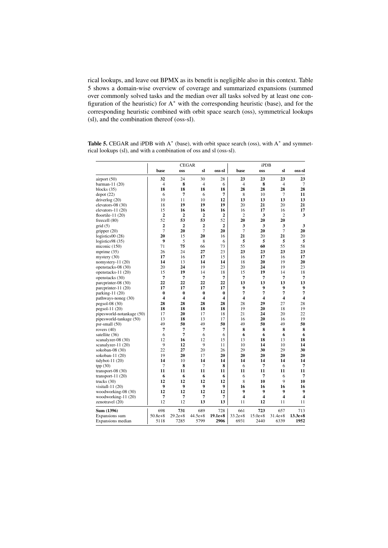rical lookups, and leave out BPMX as its benefit is negligible also in this context. Table 5 shows a domain-wise overview of coverage and summarized expansions (summed over commonly solved tasks and the median over all tasks solved by at least one configuration of the heuristic) for A<sup>∗</sup> with the corresponding heuristic (base), and for the corresponding heuristic combined with orbit space search (oss), symmetrical lookups (sl), and the combination thereof (oss-sl).

|                           | <b>CEGAR</b>            |                         |                |                | iPDB           |                         |                |           |
|---------------------------|-------------------------|-------------------------|----------------|----------------|----------------|-------------------------|----------------|-----------|
|                           | base                    | <b>OSS</b>              | sl             | oss-sl         | base           | <b>OSS</b>              | sl             | oss-sl    |
| airport (50)              | 32                      | 24                      | 30             | 28             | 23             | 23                      | 23             | 23        |
| barman-11 (20)            | $\overline{4}$          | 8                       | $\overline{4}$ | 6              | $\overline{4}$ | 8                       | $\overline{4}$ | 7         |
| blocks $(35)$             | 18                      | 18                      | 18             | 18             | 28             | 28                      | 28             | 28        |
| depot(22)                 | 6                       | $\overline{7}$          | 6              | 7              | 8              | 10                      | 7              | 11        |
| driverlog $(20)$          | 10                      | 11                      | 10             | 12             | 13             | 13                      | 13             | 13        |
| elevators-08 (30)         | 18                      | 19                      | 19             | 19             | 20             | 21                      | 20             | 21        |
| elevators- $11(20)$       | 15                      | 16                      | 16             | 16             | 16             | 17                      | 16             | 17        |
| floortile-11 $(20)$       | $\overline{2}$          | 2                       | 2              | 2              | $\overline{c}$ | 3                       | $\overline{c}$ | 3         |
| freecell $(80)$           | 52                      | 53                      | 53             | 52             | 20             | 20                      | 20             |           |
| grid(5)                   | $\overline{2}$          | $\overline{2}$          | $\overline{2}$ | $\overline{2}$ | 3              | 3                       | 3              | 3         |
| gripper (20)              | $\overline{7}$          | 20                      | $\overline{7}$ | 20             | $\overline{7}$ | 20                      | $\overline{7}$ | 20        |
| logistics00 (28)          | 20                      | 15                      | 20             | 16             | 21             | 20                      | 21             | 20        |
| logistics $98(35)$        | 9                       | 5                       | 8              | 6              | 5              | 5                       | 5              | 5         |
| miconic $(150)$           | 71                      | 75                      | 66             | 73             | 55             | 60                      | 55             | 58        |
| mprime $(35)$             | 26                      | 24                      | 27             | 23             | 23             | 23                      | 23             | 23        |
| mystery $(30)$            | 17                      | 16                      | 17             | 15             | 16             | 17                      | 16             | 17        |
| nomystery-11 (20)         | 14                      | 13                      | 14             | 14             | 18             | 20                      | 19             | 20        |
| openstacks-08 (30)        | 20                      | 24                      | 19             | 23             | 20             | 24                      | 19             | 23        |
| openstacks-11 (20)        | 15                      | 19                      | 14             | 18             | 15             | 19                      | 14             | 18        |
| openstacks (30)           | 7                       | 7                       | 7              | 7              | 7              | 7                       | 7              | 7         |
| parcprinter-08 (30)       | 22                      | 22                      | 22             | 22             | 13             | 13                      | 13             | 13        |
| parcprinter-11 (20)       | 17                      | 17                      | 17             | 17             | 9              | 9                       | 9              | 9         |
| parking-11 (20)           | $\bf{0}$                | $\bf{0}$                | $\bf{0}$       | $\bf{0}$       | 7              | 7                       | 7              | 7         |
| pathways-noneg (30)       | $\overline{\mathbf{4}}$ | $\overline{\mathbf{4}}$ | 4              | 4              | 4              | $\overline{\mathbf{4}}$ | 4              | 4         |
| $pegsol-08(30)$           | 28                      | 28                      | 28             | 28             | 28             | 29                      | 27             | 28        |
| $pegsol-11(20)$           | 18                      | 18                      | 18             | 18             | 19             | 20                      | 18             | 19        |
| pipesworld-notankage (50) | 17                      | 20                      | 17             | 18             | 21             | 24                      | 20             | 22        |
| pipesworld-tankage (50)   | 13                      | 18                      | 13             | 17             | 16             | 20                      | 16             | 19        |
| $psr$ -small $(50)$       | 49                      | 50                      | 49             | 50             | 49             | 50                      | 49             | 50        |
| rovers $(40)$             | 7                       | $\overline{7}$          | 7              | 7              | 8              | 8                       | 8              | 8         |
| satellite (36)            | 6                       | 7                       | 6              | 6              | 6              | 6                       | 6              | 6         |
| scanalyzer-08 (30)        | 12                      | 16                      | 12             | 15             | 13             | 18                      | 13             | 18        |
| scanalyzer-11 (20)        | 9                       | 12                      | 9              | 11             | 10             | 14                      | 10             | 14        |
| sokoban-08 (30)           | 22                      | 27                      | 20             | 26             | 29             | 30                      | 29             | 30        |
| sokoban-11 (20)           | 19                      | 20                      | 17             | 20             | 20             | 20                      | 20             | 20        |
| tidybot-11 $(20)$         | 14                      | 10                      | 14             | 14             | 14             | 14                      | 14             | 14        |
| tpp(30)                   | $\overline{7}$          | 8                       | $\overline{7}$ | 8              | 6              | $\overline{7}$          | 6              | 7         |
| transport-08 $(30)$       | 11                      | 11                      | 11             | 11             | 11             | 11                      | 11             | 11        |
| transport-11 $(20)$       | 6                       | 6                       | 6              | 6              | 6              | 7                       | 6              | 7         |
| trucks $(30)$             | 12                      | 12                      | 12             | 12             | 8              | 10                      | 9              | 10        |
| visitall-11 $(20)$        | 9                       | 9                       | 9              | 9              | 16             | 16                      | 16             | 16        |
| woodworking-08 (30)       | 12                      | 12                      | 12             | 12             | 9              | 9                       | 9              | 9         |
| woodworking-11 (20)       | 7                       | 7                       | 7              | 7              | 4              | $\overline{\mathbf{4}}$ | 4              | 4         |
| zenotravel (20)           | 12                      | 12                      | 13             | 13             | 11             | 12                      | 11             | 11        |
| Sum (1396)                | 698                     | 731                     | 689            | 728            | 661            | 723                     | 657            | 713       |
| Expansions sum            | $50.8e + 8$             | $29.2e + 8$             | $44.5e+8$      | $19.1e+8$      | $33.2e + 8$    | $15.0e + 8$             | $31.4e+8$      | $13.3e+8$ |
| Expansions median         | 5118                    | 7285                    | 5799           | 2906           | 6931           | 2440                    | 6339           | 1952      |

Table 5. CEGAR and iPDB with  $A^*$  (base), with orbit space search (oss), with  $A^*$  and symmetrical lookups (sl), and with a combination of oss and sl (oss-sl).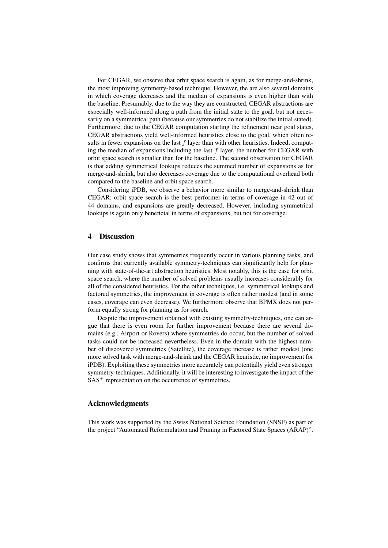For CEGAR, we observe that orbit space search is again, as for merge-and-shrink, the most improving symmetry-based technique. However, the are also several domains in which coverage decreases and the median of expansions is even higher than with the baseline. Presumably, due to the way they are constructed, CEGAR abstractions are especially well-informed along a path from the initial state to the goal, but not necessarily on a symmetrical path (because our symmetries do not stabilize the initial stated). Furthermore, due to the CEGAR computation starting the refinement near goal states, CEGAR abstractions yield well-informed heuristics close to the goal, which often results in fewer expansions on the last  $f$  layer than with other heuristics. Indeed, computing the median of expansions including the last  $f$  layer, the number for CEGAR with orbit space search is smaller than for the baseline. The second observation for CEGAR is that adding symmetrical lookups reduces the summed number of expansions as for merge-and-shrink, but also decreases coverage due to the computational overhead both compared to the baseline and orbit space search.

Considering iPDB, we observe a behavior more similar to merge-and-shrink than CEGAR: orbit space search is the best performer in terms of coverage in 42 out of 44 domains, and expansions are greatly decreased. However, including symmetrical lookups is again only beneficial in terms of expansions, but not for coverage.

### 4 Discussion

Our case study shows that symmetries frequently occur in various planning tasks, and confirms that currently available symmetry-techniques can significantly help for planning with state-of-the-art abstraction heuristics. Most notably, this is the case for orbit space search, where the number of solved problems usually increases considerably for all of the considered heuristics. For the other techniques, i.e. symmetrical lookups and factored symmetries, the improvement in coverage is often rather modest (and in some cases, coverage can even decrease). We furthermore observe that BPMX does not perform equally strong for planning as for search.

Despite the improvement obtained with existing symmetry-techniques, one can argue that there is even room for further improvement because there are several domains (e.g., Airport or Rovers) where symmetries do occur, but the number of solved tasks could not be increased nevertheless. Even in the domain with the highest number of discovered symmetries (Satellite), the coverage increase is rather modest (one more solved task with merge-and-shrink and the CEGAR heuristic, no improvement for iPDB). Exploiting these symmetries more accurately can potentially yield even stronger symmetry-techniques. Additionally, it will be interesting to investigate the impact of the  $SAS<sup>+</sup>$  representation on the occurrence of symmetries.

## Acknowledgments

This work was supported by the Swiss National Science Foundation (SNSF) as part of the project "Automated Reformulation and Pruning in Factored State Spaces (ARAP)".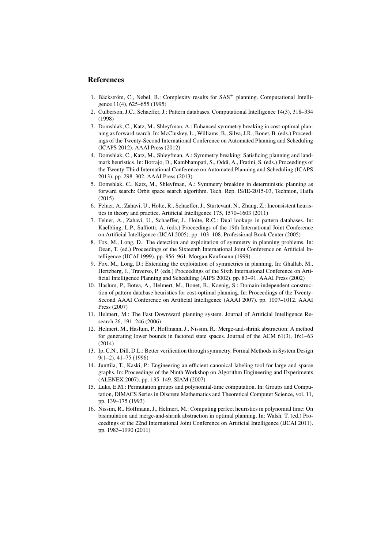## References

- 1. Bäckström, C., Nebel, B.: Complexity results for SAS<sup>+</sup> planning. Computational Intelligence 11(4), 625–655 (1995)
- 2. Culberson, J.C., Schaeffer, J.: Pattern databases. Computational Intelligence 14(3), 318–334 (1998)
- 3. Domshlak, C., Katz, M., Shleyfman, A.: Enhanced symmetry breaking in cost-optimal planning as forward search. In: McCluskey, L., Williams, B., Silva, J.R., Bonet, B. (eds.) Proceedings of the Twenty-Second International Conference on Automated Planning and Scheduling (ICAPS 2012). AAAI Press (2012)
- 4. Domshlak, C., Katz, M., Shleyfman, A.: Symmetry breaking: Satisficing planning and landmark heuristics. In: Borrajo, D., Kambhampati, S., Oddi, A., Fratini, S. (eds.) Proceedings of the Twenty-Third International Conference on Automated Planning and Scheduling (ICAPS 2013). pp. 298–302. AAAI Press (2013)
- 5. Domshlak, C., Katz, M., Shleyfman, A.: Symmetry breaking in deterministic planning as forward search: Orbit space search algorithm. Tech. Rep. IS/IE-2015-03, Technion, Haifa (2015)
- 6. Felner, A., Zahavi, U., Holte, R., Schaeffer, J., Sturtevant, N., Zhang, Z.: Inconsistent heuristics in theory and practice. Artificial Intelligence 175, 1570–1603 (2011)
- 7. Felner, A., Zahavi, U., Schaeffer, J., Holte, R.C.: Dual lookups in pattern databases. In: Kaelbling, L.P., Saffiotti, A. (eds.) Proceedings of the 19th International Joint Conference on Artificial Intelligence (IJCAI 2005). pp. 103–108. Professional Book Center (2005)
- 8. Fox, M., Long, D.: The detection and exploitation of symmetry in planning problems. In: Dean, T. (ed.) Proceedings of the Sixteenth International Joint Conference on Artificial Intelligence (IJCAI 1999). pp. 956–961. Morgan Kaufmann (1999)
- 9. Fox, M., Long, D.: Extending the exploitation of symmetries in planning. In: Ghallab, M., Hertzberg, J., Traverso, P. (eds.) Proceedings of the Sixth International Conference on Artificial Intelligence Planning and Scheduling (AIPS 2002). pp. 83–91. AAAI Press (2002)
- 10. Haslum, P., Botea, A., Helmert, M., Bonet, B., Koenig, S.: Domain-independent construction of pattern database heuristics for cost-optimal planning. In: Proceedings of the Twenty-Second AAAI Conference on Artificial Intelligence (AAAI 2007). pp. 1007–1012. AAAI Press (2007)
- 11. Helmert, M.: The Fast Downward planning system. Journal of Artificial Intelligence Research 26, 191–246 (2006)
- 12. Helmert, M., Haslum, P., Hoffmann, J., Nissim, R.: Merge-and-shrink abstraction: A method for generating lower bounds in factored state spaces. Journal of the ACM 61(3), 16:1–63 (2014)
- 13. Ip, C.N., Dill, D.L.: Better verification through symmetry. Formal Methods in System Design 9(1–2), 41–75 (1996)
- 14. Junttila, T., Kaski, P.: Engineering an efficient canonical labeling tool for large and sparse graphs. In: Proceedings of the Ninth Workshop on Algorithm Engineering and Experiments (ALENEX 2007). pp. 135–149. SIAM (2007)
- 15. Luks, E.M.: Permutation groups and polynomial-time computation. In: Groups and Computation, DIMACS Series in Discrete Mathematics and Theoretical Computer Science, vol. 11, pp. 139–175 (1993)
- 16. Nissim, R., Hoffmann, J., Helmert, M.: Computing perfect heuristics in polynomial time: On bisimulation and merge-and-shrink abstraction in optimal planning. In: Walsh, T. (ed.) Proceedings of the 22nd International Joint Conference on Artificial Intelligence (IJCAI 2011). pp. 1983–1990 (2011)